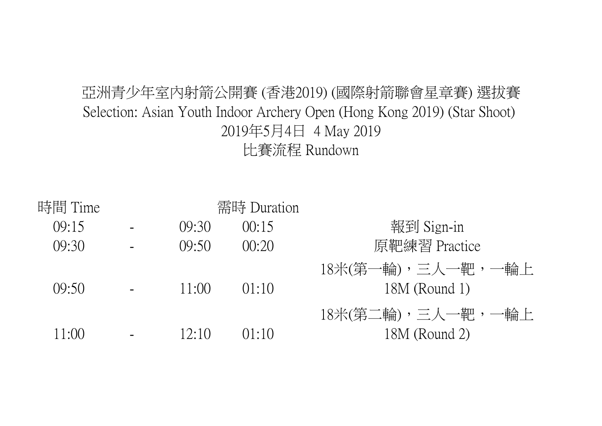## 亞洲青少年室內射箭公開賽 (香港2019) (國際射箭聯會星章賽) 選拔賽 比賽流程 Rundown 2019年5月4日 4 May 2019 Selection: Asian Youth Indoor Archery Open (Hong Kong 2019) (Star Shoot)

| 時間 Time |         | 需時 Duration |                   |
|---------|---------|-------------|-------------------|
| 09:15   | (9:30)  | 00:15       | 報到 Sign-in        |
| (09:30) | (09:50) | 00:20       | 原靶練習 Practice     |
|         |         |             | 18米(第一輪),三人一靶,一輪上 |
| (09:50) | 11:00   | 01:10       | $18M$ (Round 1)   |
|         |         |             | 18米(第二輪),三人一靶,一輪上 |
| 11:00   | 12:10   | ( )1:1()    | 18M (Round 2)     |